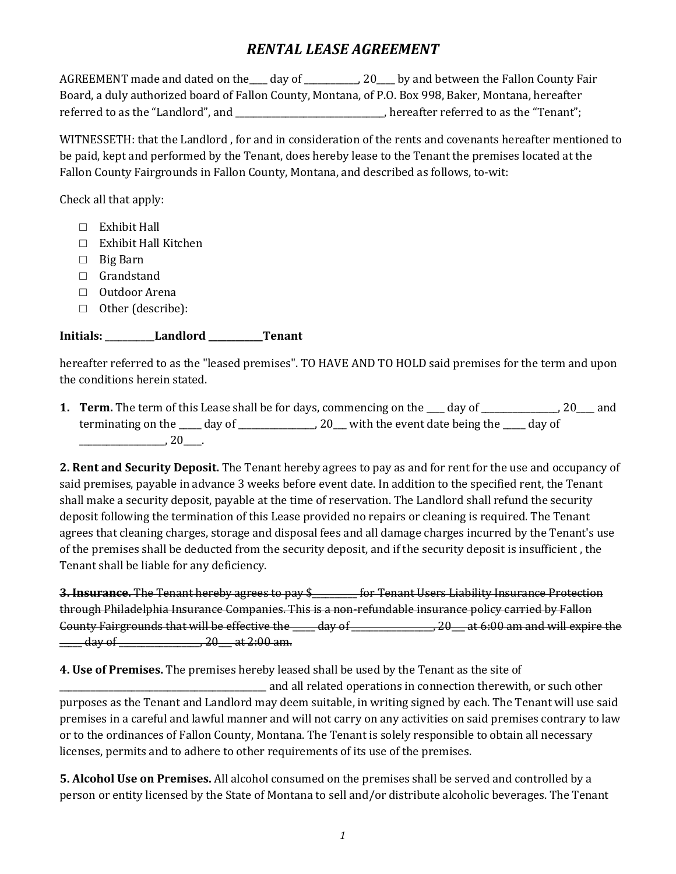# *RENTAL LEASE AGREEMENT*

AGREEMENT made and dated on the \_\_\_ day of \_\_\_\_\_\_\_\_\_, 20 by and between the Fallon County Fair Board, a duly authorized board of Fallon County, Montana, of P.O. Box 998, Baker, Montana, hereafter referred to as the "Landlord", and \_\_\_\_\_\_\_\_\_\_\_\_\_\_\_\_\_\_\_\_\_\_\_\_\_, hereafter referred to as the "Tenant";

WITNESSETH: that the Landlord , for and in consideration of the rents and covenants hereafter mentioned to be paid, kept and performed by the Tenant, does hereby lease to the Tenant the premises located at the Fallon County Fairgrounds in Fallon County, Montana, and described as follows, to-wit:

Check all that apply:

- $\Box$  Exhibit Hall
- □ Exhibit Hall Kitchen
- □ Big Barn
- □ Grandstand
- □ Outdoor Arena
- □ Other (describe):

### **Initials:** \_\_\_\_\_\_\_\_\_\_\_**Landlord \_\_\_\_\_\_\_\_\_\_\_\_Tenant**

hereafter referred to as the "leased premises". TO HAVE AND TO HOLD said premises for the term and upon the conditions herein stated.

**1. <b>Term.** The term of this Lease shall be for days, commencing on the day of 20 and terminating on the \_\_\_\_ day of \_\_\_\_\_\_\_\_\_\_\_\_\_\_\_, 20\_\_ with the event date being the \_\_\_\_ day of  $\frac{1}{20}$ , 20

**2. Rent and Security Deposit.** The Tenant hereby agrees to pay as and for rent for the use and occupancy of said premises, payable in advance 3 weeks before event date. In addition to the specified rent, the Tenant shall make a security deposit, payable at the time of reservation. The Landlord shall refund the security deposit following the termination of this Lease provided no repairs or cleaning is required. The Tenant agrees that cleaning charges, storage and disposal fees and all damage charges incurred by the Tenant's use of the premises shall be deducted from the security deposit, and if the security deposit is insufficient , the Tenant shall be liable for any deficiency.

**3. Insurance.** The Tenant hereby agrees to pay \$\_\_\_\_\_\_\_\_\_\_ for Tenant Users Liability Insurance Protection through Philadelphia Insurance Companies. This is a non-refundable insurance policy carried by Fallon County Fairgrounds that will be effective the  $\frac{1}{2}$  day of  $\frac{1}{20}$  at 6:00 am and will expire the  $\frac{1}{\frac{1}{2}}$  day of  $\frac{1}{2}$  at 2:00 am.

**4. Use of Premises.** The premises hereby leased shall be used by the Tenant as the site of

\_\_\_\_\_\_\_\_\_\_\_\_\_\_\_\_\_\_\_\_\_\_\_\_\_\_\_\_\_\_\_\_\_\_\_\_\_\_\_\_\_\_\_\_\_\_ and all related operations in connection therewith, or such other purposes as the Tenant and Landlord may deem suitable, in writing signed by each. The Tenant will use said premises in a careful and lawful manner and will not carry on any activities on said premises contrary to law or to the ordinances of Fallon County, Montana. The Tenant is solely responsible to obtain all necessary licenses, permits and to adhere to other requirements of its use of the premises.

**5. Alcohol Use on Premises.** All alcohol consumed on the premises shall be served and controlled by a person or entity licensed by the State of Montana to sell and/or distribute alcoholic beverages. The Tenant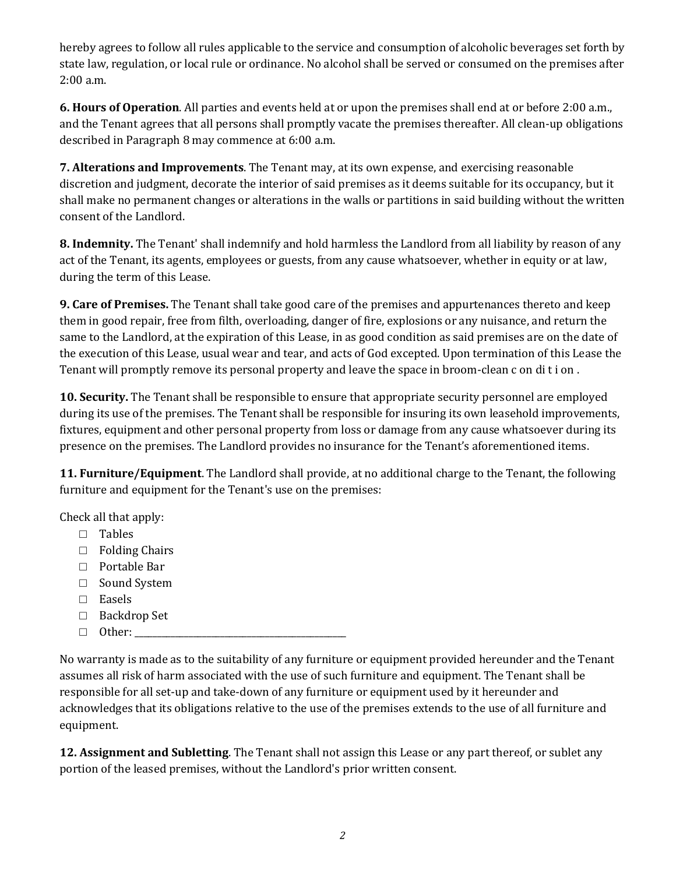hereby agrees to follow all rules applicable to the service and consumption of alcoholic beverages set forth by state law, regulation, or local rule or ordinance. No alcohol shall be served or consumed on the premises after 2:00 a.m.

**6. Hours of Operation**. All parties and events held at or upon the premises shall end at or before 2:00 a.m., and the Tenant agrees that all persons shall promptly vacate the premises thereafter. All clean-up obligations described in Paragraph 8 may commence at 6:00 a.m.

**7. Alterations and Improvements**. The Tenant may, at its own expense, and exercising reasonable discretion and judgment, decorate the interior of said premises as it deems suitable for its occupancy, but it shall make no permanent changes or alterations in the walls or partitions in said building without the written consent of the Landlord.

**8. Indemnity.** The Tenant' shall indemnify and hold harmless the Landlord from all liability by reason of any act of the Tenant, its agents, employees or guests, from any cause whatsoever, whether in equity or at law, during the term of this Lease.

**9. Care of Premises.** The Tenant shall take good care of the premises and appurtenances thereto and keep them in good repair, free from filth, overloading, danger of fire, explosions or any nuisance, and return the same to the Landlord, at the expiration of this Lease, in as good condition as said premises are on the date of the execution of this Lease, usual wear and tear, and acts of God excepted. Upon termination of this Lease the Tenant will promptly remove its personal property and leave the space in broom-clean c on di t i on .

**10. Security.** The Tenant shall be responsible to ensure that appropriate security personnel are employed during its use of the premises. The Tenant shall be responsible for insuring its own leasehold improvements, fixtures, equipment and other personal property from loss or damage from any cause whatsoever during its presence on the premises. The Landlord provides no insurance for the Tenant's aforementioned items.

**11. Furniture/Equipment**. The Landlord shall provide, at no additional charge to the Tenant, the following furniture and equipment for the Tenant's use on the premises:

Check all that apply:

- □ Tables
- □ Folding Chairs
- □ Portable Bar
- □ Sound System
- □ Easels
- □ Backdrop Set
- $\Box$  Other:

No warranty is made as to the suitability of any furniture or equipment provided hereunder and the Tenant assumes all risk of harm associated with the use of such furniture and equipment. The Tenant shall be responsible for all set-up and take-down of any furniture or equipment used by it hereunder and acknowledges that its obligations relative to the use of the premises extends to the use of all furniture and equipment.

**12. Assignment and Subletting**. The Tenant shall not assign this Lease or any part thereof, or sublet any portion of the leased premises, without the Landlord's prior written consent.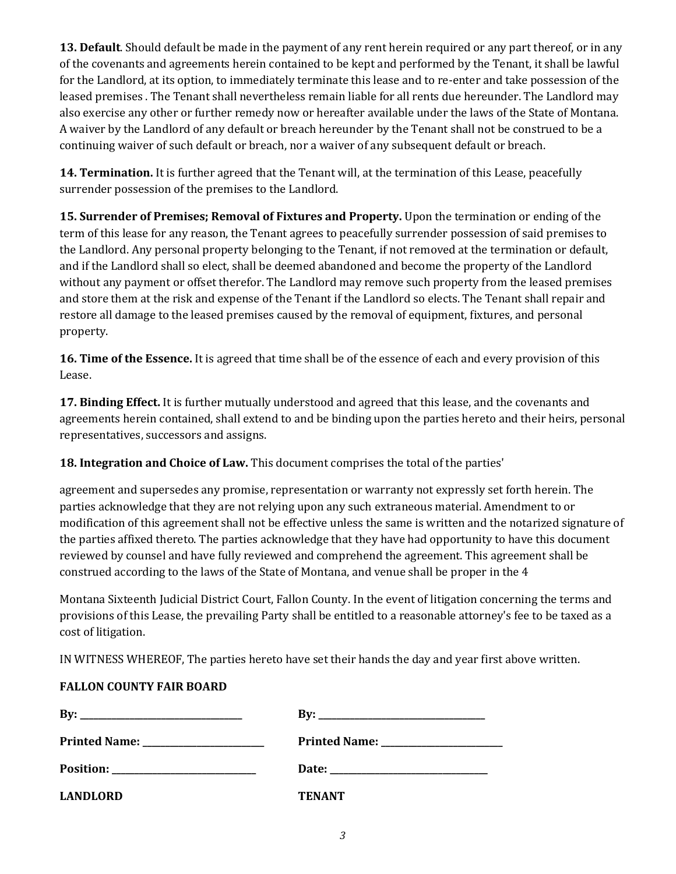**13. Default**. Should default be made in the payment of any rent herein required or any part thereof, or in any of the covenants and agreements herein contained to be kept and performed by the Tenant, it shall be lawful for the Landlord, at its option, to immediately terminate this lease and to re-enter and take possession of the leased premises . The Tenant shall nevertheless remain liable for all rents due hereunder. The Landlord may also exercise any other or further remedy now or hereafter available under the laws of the State of Montana. A waiver by the Landlord of any default or breach hereunder by the Tenant shall not be construed to be a continuing waiver of such default or breach, nor a waiver of any subsequent default or breach.

**14. Termination.** It is further agreed that the Tenant will, at the termination of this Lease, peacefully surrender possession of the premises to the Landlord.

**15. Surrender of Premises; Removal of Fixtures and Property.** Upon the termination or ending of the term of this lease for any reason, the Tenant agrees to peacefully surrender possession of said premises to the Landlord. Any personal property belonging to the Tenant, if not removed at the termination or default, and if the Landlord shall so elect, shall be deemed abandoned and become the property of the Landlord without any payment or offset therefor. The Landlord may remove such property from the leased premises and store them at the risk and expense of the Tenant if the Landlord so elects. The Tenant shall repair and restore all damage to the leased premises caused by the removal of equipment, fixtures, and personal property.

**16. Time of the Essence.** It is agreed that time shall be of the essence of each and every provision of this Lease.

**17. Binding Effect.** It is further mutually understood and agreed that this lease, and the covenants and agreements herein contained, shall extend to and be binding upon the parties hereto and their heirs, personal representatives, successors and assigns.

**18. Integration and Choice of Law.** This document comprises the total of the parties'

agreement and supersedes any promise, representation or warranty not expressly set forth herein. The parties acknowledge that they are not relying upon any such extraneous material. Amendment to or modification of this agreement shall not be effective unless the same is written and the notarized signature of the parties affixed thereto. The parties acknowledge that they have had opportunity to have this document reviewed by counsel and have fully reviewed and comprehend the agreement. This agreement shall be construed according to the laws of the State of Montana, and venue shall be proper in the 4

Montana Sixteenth Judicial District Court, Fallon County. In the event of litigation concerning the terms and provisions of this Lease, the prevailing Party shall be entitled to a reasonable attorney's fee to be taxed as a cost of litigation.

IN WITNESS WHEREOF, The parties hereto have set their hands the day and year first above written.

### **FALLON COUNTY FAIR BOARD**

| $\mathbf{B} \mathbf{v}$ :            |               |
|--------------------------------------|---------------|
| Printed Name: ______________________ |               |
|                                      |               |
| <b>LANDLORD</b>                      | <b>TENANT</b> |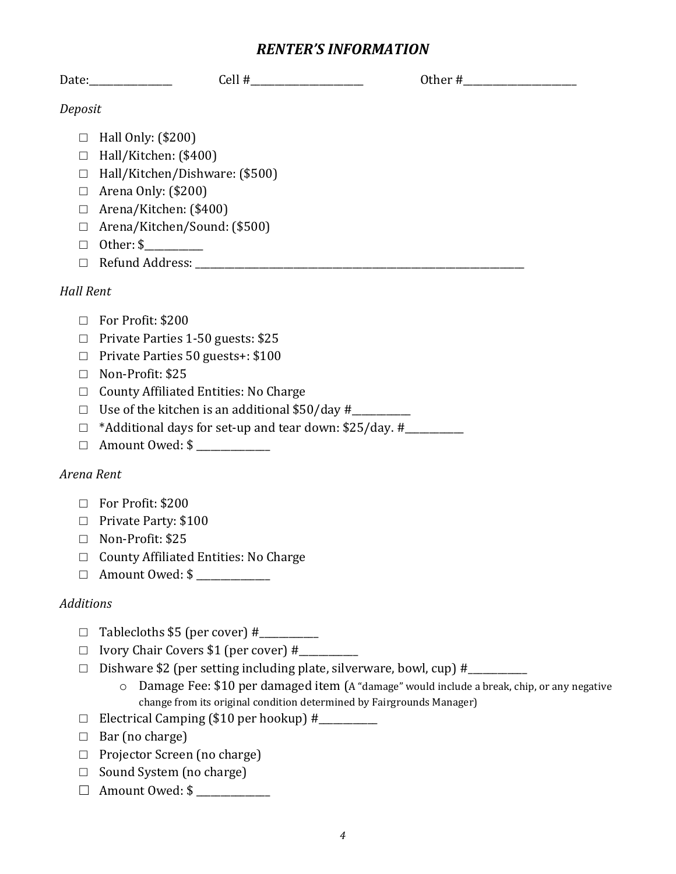## *RENTER'S INFORMATION*

|                                                     | $Cell$ #<br>Date:                                                                                                                                                            | Other $#$ |
|-----------------------------------------------------|------------------------------------------------------------------------------------------------------------------------------------------------------------------------------|-----------|
| Deposit                                             |                                                                                                                                                                              |           |
| □<br>$\Box$<br>$\Box$<br>$\Box$<br>$\Box$<br>$\Box$ | Hall Only: (\$200)<br>Hall/Kitchen: (\$400)<br>Hall/Kitchen/Dishware: (\$500)<br>Arena Only: (\$200)<br>Arena/Kitchen: (\$400)<br>Arena/Kitchen/Sound: (\$500)<br>Other: $\$ |           |
| П<br><b>Hall Rent</b>                               |                                                                                                                                                                              |           |

- □ For Profit: \$200
- □ Private Parties 1-50 guests: \$25
- □ Private Parties 50 guests+: \$100
- □ Non-Profit: \$25
- □ County Affiliated Entities: No Charge
- □ Use of the kitchen is an additional \$50/day #\_\_\_\_\_\_\_\_\_\_\_\_
- $\Box$  \*Additional days for set-up and tear down: \$25/day. #
- □ Amount Owed: \$ \_\_\_\_\_\_\_\_\_\_\_\_\_\_\_

## *Arena Rent*

- □ For Profit: \$200
- □ Private Party: \$100
- □ Non-Profit: \$25
- □ County Affiliated Entities: No Charge
- □ Amount Owed: \$ \_\_\_\_\_\_\_\_\_\_\_\_\_

## *Additions*

- $\Box$  Tablecloths \$5 (per cover) #
- $\Box$  Ivory Chair Covers \$1 (per cover) #
- □ Dishware \$2 (per setting including plate, silverware, bowl, cup) #\_\_\_\_\_\_\_\_\_\_\_\_
	- o Damage Fee: \$10 per damaged item (A "damage" would include a break, chip, or any negative change from its original condition determined by Fairgrounds Manager)
- $\Box$  Electrical Camping (\$10 per hookup) #\_\_\_\_\_\_\_\_\_
- □ Bar (no charge)
- □ Projector Screen (no charge)
- □ Sound System (no charge)
- □ Amount Owed: \$ \_\_\_\_\_\_\_\_\_\_\_\_\_\_\_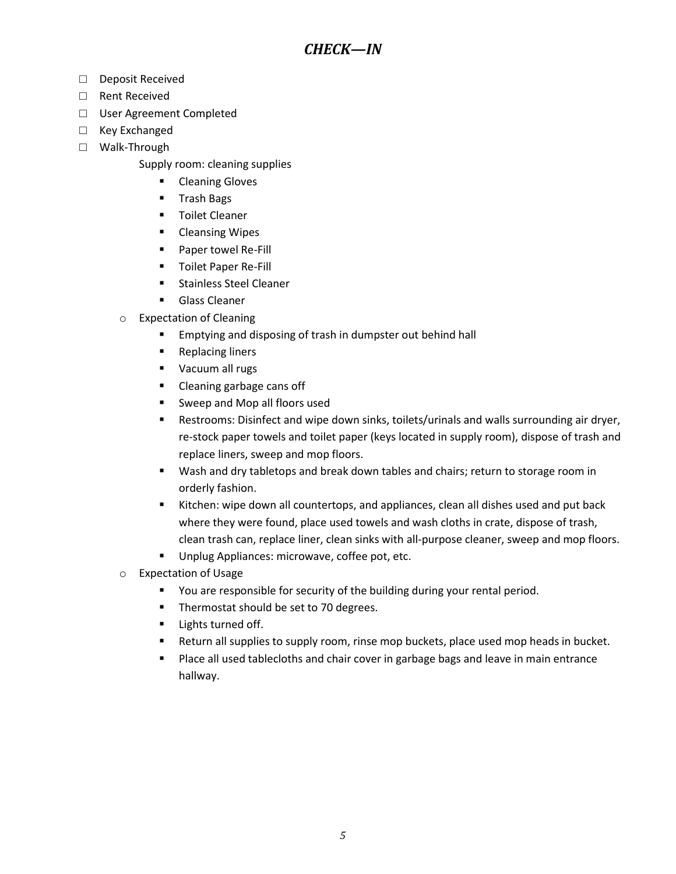- □ Deposit Received
- □ Rent Received
- □ User Agreement Completed
- □ Key Exchanged
- □ Walk-Through
	- Supply room: cleaning supplies
		- Cleaning Gloves
		- Trash Bags
		- Toilet Cleaner
		- Cleansing Wipes
		- Paper towel Re-Fill
		- Toilet Paper Re-Fill
		- Stainless Steel Cleaner
		- Glass Cleaner
	- o Expectation of Cleaning
		- Emptying and disposing of trash in dumpster out behind hall
		- Replacing liners
		- Vacuum all rugs
		- Cleaning garbage cans off
		- Sweep and Mop all floors used
		- **E** Restrooms: Disinfect and wipe down sinks, toilets/urinals and walls surrounding air dryer, re-stock paper towels and toilet paper (keys located in supply room), dispose of trash and replace liners, sweep and mop floors.
		- Wash and dry tabletops and break down tables and chairs; return to storage room in orderly fashion.
		- Kitchen: wipe down all countertops, and appliances, clean all dishes used and put back where they were found, place used towels and wash cloths in crate, dispose of trash, clean trash can, replace liner, clean sinks with all-purpose cleaner, sweep and mop floors.
		- Unplug Appliances: microwave, coffee pot, etc.
	- o Expectation of Usage
		- You are responsible for security of the building during your rental period.
		- Thermostat should be set to 70 degrees.
		- **■** Lights turned off.
		- **E** Return all supplies to supply room, rinse mop buckets, place used mop heads in bucket.
		- Place all used tablecloths and chair cover in garbage bags and leave in main entrance hallway.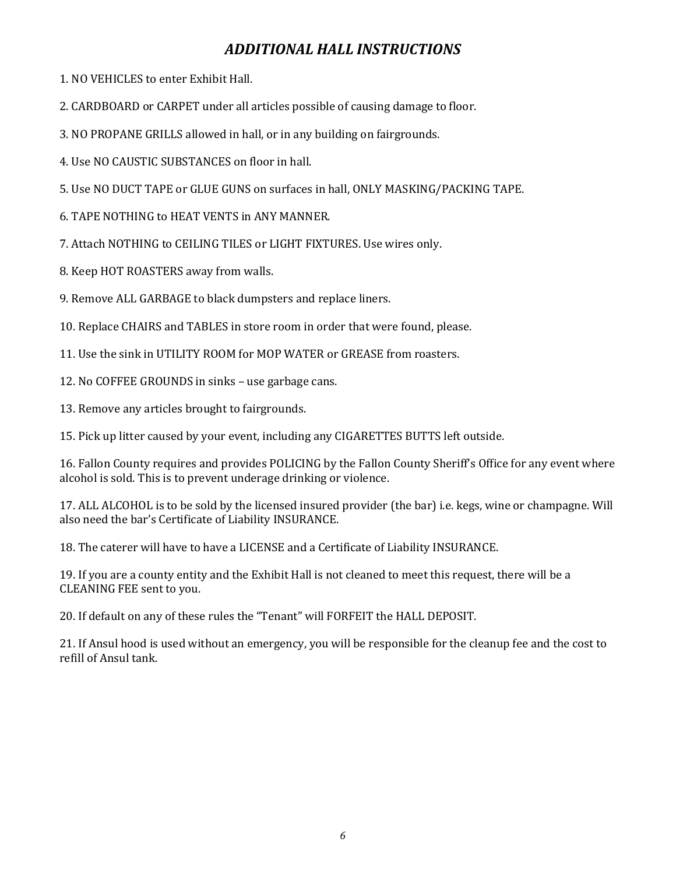# *ADDITIONAL HALL INSTRUCTIONS*

1. NO VEHICLES to enter Exhibit Hall.

2. CARDBOARD or CARPET under all articles possible of causing damage to floor.

3. NO PROPANE GRILLS allowed in hall, or in any building on fairgrounds.

4. Use NO CAUSTIC SUBSTANCES on floor in hall.

5. Use NO DUCT TAPE or GLUE GUNS on surfaces in hall, ONLY MASKING/PACKING TAPE.

6. TAPE NOTHING to HEAT VENTS in ANY MANNER.

7. Attach NOTHING to CEILING TILES or LIGHT FIXTURES. Use wires only.

8. Keep HOT ROASTERS away from walls.

9. Remove ALL GARBAGE to black dumpsters and replace liners.

10. Replace CHAIRS and TABLES in store room in order that were found, please.

11. Use the sink in UTILITY ROOM for MOP WATER or GREASE from roasters.

12. No COFFEE GROUNDS in sinks – use garbage cans.

13. Remove any articles brought to fairgrounds.

15. Pick up litter caused by your event, including any CIGARETTES BUTTS left outside.

16. Fallon County requires and provides POLICING by the Fallon County Sheriff's Office for any event where alcohol is sold. This is to prevent underage drinking or violence.

17. ALL ALCOHOL is to be sold by the licensed insured provider (the bar) i.e. kegs, wine or champagne. Will also need the bar's Certificate of Liability INSURANCE.

18. The caterer will have to have a LICENSE and a Certificate of Liability INSURANCE.

19. If you are a county entity and the Exhibit Hall is not cleaned to meet this request, there will be a CLEANING FEE sent to you.

20. If default on any of these rules the "Tenant" will FORFEIT the HALL DEPOSIT.

21. If Ansul hood is used without an emergency, you will be responsible for the cleanup fee and the cost to refill of Ansul tank.